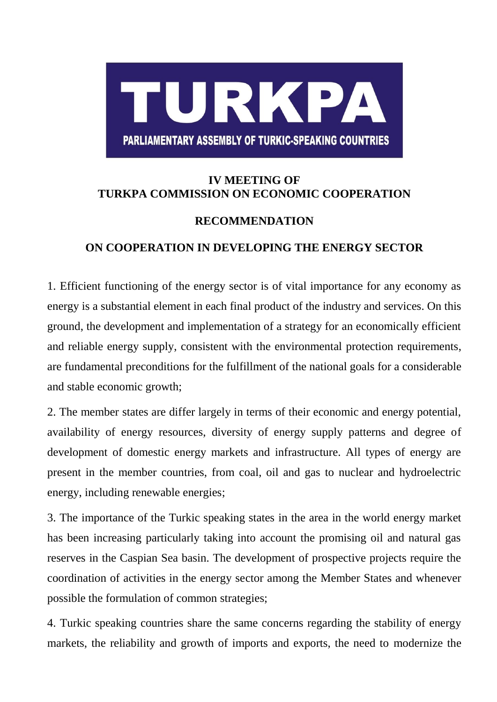

## **IV MEETING OF TURKPA COMMISSION ON ECONOMIC COOPERATION**

## **RECOMMENDATION**

## **ON COOPERATION IN DEVELOPING THE ENERGY SECTOR**

1. Efficient functioning of the energy sector is of vital importance for any economy as energy is a substantial element in each final product of the industry and services. On this ground, the development and implementation of a strategy for an economically efficient and reliable energy supply, consistent with the environmental protection requirements, are fundamental preconditions for the fulfillment of the national goals for a considerable and stable economic growth;

2. The member states are differ largely in terms of their economic and energy potential, availability of energy resources, diversity of energy supply patterns and degree of development of domestic energy markets and infrastructure. All types of energy are present in the member countries, from coal, oil and gas to nuclear and hydroelectric energy, including renewable energies;

3. The importance of the Turkic speaking states in the area in the world energy market has been increasing particularly taking into account the promising oil and natural gas reserves in the Caspian Sea basin. The development of prospective projects require the coordination of activities in the energy sector among the Member States and whenever possible the formulation of common strategies;

4. Turkic speaking countries share the same concerns regarding the stability of energy markets, the reliability and growth of imports and exports, the need to modernize the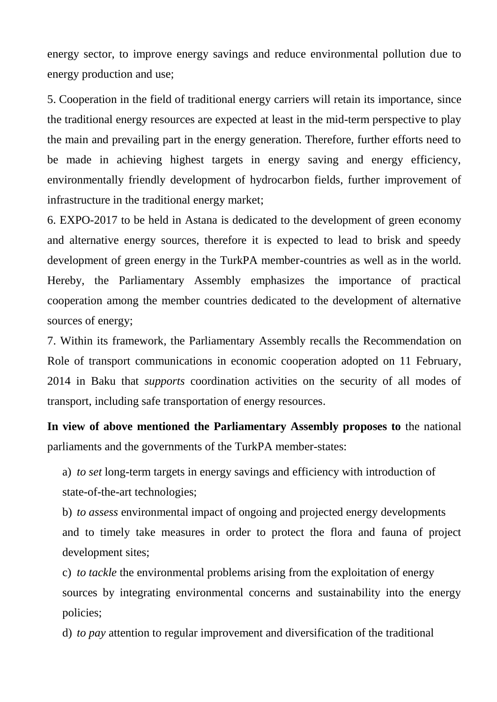energy sector, to improve energy savings and reduce environmental pollution due to energy production and use;

5. Cooperation in the field of traditional energy carriers will retain its importance, since the traditional energy resources are expected at least in the mid-term perspective to play the main and prevailing part in the energy generation. Therefore, further efforts need to be made in achieving highest targets in energy saving and energy efficiency, environmentally friendly development of hydrocarbon fields, further improvement of infrastructure in the traditional energy market;

6. EXPO-2017 to be held in Astana is dedicated to the development of green economy and alternative energy sources, therefore it is expected to lead to brisk and speedy development of green energy in the TurkPA member-countries as well as in the world. Hereby, the Parliamentary Assembly emphasizes the importance of practical cooperation among the member countries dedicated to the development of alternative sources of energy;

7. Within its framework, the Parliamentary Assembly recalls the Recommendation on Role of transport communications in economic cooperation adopted on 11 February, 2014 in Baku that *supports* coordination activities on the security of all modes of transport, including safe transportation of energy resources.

**In view of above mentioned the Parliamentary Assembly proposes to** the national parliaments and the governments of the TurkPA member-states:

a) *to set* long-term targets in energy savings and efficiency with introduction of state-of-the-art technologies;

b) *to assess* environmental impact of ongoing and projected energy developments and to timely take measures in order to protect the flora and fauna of project development sites;

c) *to tackle* the environmental problems arising from the exploitation of energy sources by integrating environmental concerns and sustainability into the energy policies;

d) *to pay* attention to regular improvement and diversification of the traditional